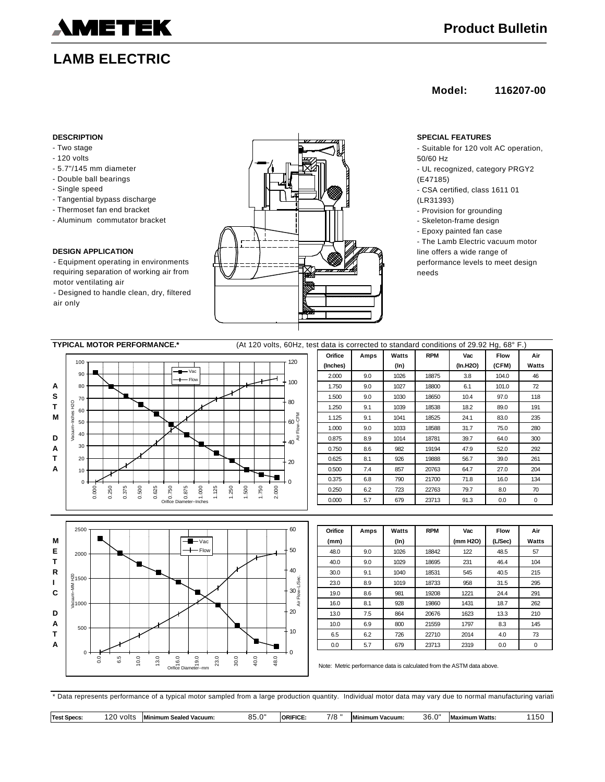

# **LAMB ELECTRIC**

## **Model: 116207-00**

- Two stage
- 120 volts
- 5.7"/145 mm diameter
- Double ball bearings
- Single speed
- Tangential bypass discharge
- Thermoset fan end bracket
- Aluminum commutator bracket

### **DESIGN APPLICATION**

- Equipment operating in environments requiring separation of working air from motor ventilating air

- Designed to handle clean, dry, filtered air only



- Suitable for 120 volt AC operation, 50/60 Hz
- UL recognized, category PRGY2 (E47185)
- CSA certified, class 1611 01
- (LR31393)
- Provision for grounding
- Skeleton-frame design
- Epoxy painted fan case
- The Lamb Electric vacuum motor line offers a wide range of
- performance levels to meet design needs

| <b>TYPICAL MOTOR PERFORMANCE.*</b> |                  |                |       |       |       |              |                           |                           |       |                          |       | (At 120 volts, 60Hz, test data is corrected to standard conditions of 29.92 Hg, 68° F.) |       |                 |  |          |      |         |            |          |             |       |
|------------------------------------|------------------|----------------|-------|-------|-------|--------------|---------------------------|---------------------------|-------|--------------------------|-------|-----------------------------------------------------------------------------------------|-------|-----------------|--|----------|------|---------|------------|----------|-------------|-------|
|                                    |                  |                |       |       |       |              |                           |                           |       |                          |       |                                                                                         |       |                 |  | Orifice  | Amps | Watts   | <b>RPM</b> | Vac      | <b>Flow</b> | Air   |
|                                    | 100              |                |       |       |       |              |                           |                           |       |                          |       |                                                                                         |       | 120             |  | (Inches) |      | $(\ln)$ |            | (In.H2O) | (CFM)       | Watts |
|                                    | 90               |                |       |       |       |              | $-$ M $-$ Vac<br>$+$ Flow |                           |       |                          |       |                                                                                         |       |                 |  | 2.000    | 9.0  | 1026    | 18875      | 3.8      | 104.0       | 46    |
| A                                  | 80               |                |       |       |       |              |                           |                           |       |                          |       |                                                                                         |       | 100             |  | 1.750    | 9.0  | 1027    | 18800      | 6.1      | 101.0       | 72    |
| s                                  | 70               |                |       |       |       |              |                           |                           |       |                          |       |                                                                                         |       | 80              |  | 1.500    | 9.0  | 1030    | 18650      | 10.4     | 97.0        | 118   |
| т                                  | Inches H2O<br>60 |                |       |       |       |              |                           |                           |       |                          |       |                                                                                         |       |                 |  | 1.250    | 9.1  | 1039    | 18538      | 18.2     | 89.0        | 191   |
| м                                  | 50               |                |       |       |       |              |                           |                           |       |                          |       |                                                                                         |       | $60\frac{E}{1}$ |  | 1.125    | 9.1  | 1041    | 18525      | 24.1     | 83.0        | 235   |
|                                    |                  |                |       |       |       | $\mathbf{r}$ |                           |                           |       |                          |       |                                                                                         |       | Flow-           |  | 1.000    | 9.0  | 1033    | 18588      | 31.7     | 75.0        | 280   |
| D                                  | Vacuum<br>40     |                |       |       |       |              |                           |                           |       |                          |       |                                                                                         |       | ă<br>40         |  | 0.875    | 8.9  | 1014    | 18781      | 39.7     | 64.0        | 300   |
| A                                  | 30               |                |       |       |       |              |                           |                           |       |                          |       |                                                                                         |       |                 |  | 0.750    | 8.6  | 982     | 19194      | 47.9     | 52.0        | 292   |
| т                                  | 20               |                |       |       |       |              |                           |                           |       |                          |       |                                                                                         |       | 20              |  | 0.625    | 8.1  | 926     | 19888      | 56.7     | 39.0        | 261   |
| Α                                  | 10               |                |       |       |       |              |                           |                           |       |                          |       |                                                                                         |       |                 |  | 0.500    | 7.4  | 857     | 20763      | 64.7     | 27.0        | 204   |
|                                    | $0+$             |                |       |       |       |              |                           |                           |       |                          |       |                                                                                         |       |                 |  | 0.375    | 6.8  | 790     | 21700      | 71.8     | 16.0        | 134   |
|                                    |                  | 0.000<br>0.250 | 0.375 | 0.500 | 0.625 | 0.750        | 0.875                     | 000                       | 1,125 | .250                     | 1.500 | 1.750                                                                                   | 2.000 |                 |  | 0.250    | 6.2  | 723     | 22763      | 79.7     | 8.0         | 70    |
|                                    |                  |                |       |       |       |              | Orifice Diameter--Inches  |                           |       | $\overline{\phantom{0}}$ |       |                                                                                         |       |                 |  | 0.000    | 5.7  | 679     | 23713      | 91.3     | 0.0         | 0     |
|                                    |                  |                |       |       |       |              |                           |                           |       |                          |       |                                                                                         |       |                 |  |          |      |         |            |          |             |       |
|                                    |                  |                |       |       |       |              |                           |                           |       |                          |       |                                                                                         |       |                 |  |          |      |         |            |          |             |       |
|                                    | 2500             |                |       |       |       |              |                           |                           |       |                          |       |                                                                                         |       | 60              |  | Orifice  | Amps | Watts   | <b>RPM</b> | Vac      | <b>Flow</b> | Air   |
| М                                  |                  |                |       |       |       |              |                           | $ \blacksquare$ $\vee$ ac |       |                          |       |                                                                                         |       |                 |  | (mm)     |      | $(\ln)$ |            | (mm H2O) | (L/Sec)     | Watts |



| Orifice | Amps | Watts   | <b>RPM</b> | Vac      | <b>Flow</b> | Air   |
|---------|------|---------|------------|----------|-------------|-------|
| (mm)    |      | $(\ln)$ |            | (mm H2O) | (L/Sec)     | Watts |
| 48.0    | 9.0  | 1026    | 18842      | 122      | 48.5        | 57    |
| 40.0    | 9.0  | 1029    | 18695      | 231      | 46.4        | 104   |
| 30.0    | 9.1  | 1040    | 18531      | 545      | 40.5        | 215   |
| 23.0    | 8.9  | 1019    | 18733      | 958      | 31.5        | 295   |
| 19.0    | 8.6  | 981     | 19208      | 1221     | 24.4        | 291   |
| 16.0    | 8.1  | 928     | 19860      | 1431     | 18.7        | 262   |
| 13.0    | 7.5  | 864     | 20676      | 1623     | 13.3        | 210   |
| 10.0    | 6.9  | 800     | 21559      | 1797     | 8.3         | 145   |
| 6.5     | 6.2  | 726     | 22710      | 2014     | 4.0         | 73    |
| 0.0     | 5.7  | 679     | 23713      | 2319     | 0.0         | 0     |

Note: Metric performance data is calculated from the ASTM data above.

\* Data represents performance of a typical motor sampled from a large production quantity. Individual motor data may vary due to normal manufacturing variati

|  | <b>Test Specs</b> | חרו<br>volts | <b>Minimum</b><br>n Sealed Vacuum: | $\sim$<br>.<br>uu.u | <b>ORIFICE</b> | 7/8 | Min<br>imum Vacuum: | $\sim$<br>36.0 | ximum Watts:<br>IVI. | .5t |
|--|-------------------|--------------|------------------------------------|---------------------|----------------|-----|---------------------|----------------|----------------------|-----|
|--|-------------------|--------------|------------------------------------|---------------------|----------------|-----|---------------------|----------------|----------------------|-----|